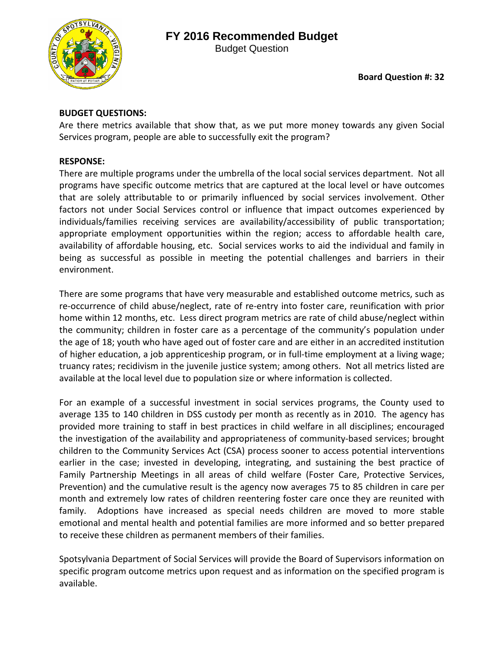## **FY 2016 Recommended Budget**



Budget Question

## **BUDGET QUESTIONS:**

Are there metrics available that show that, as we put more money towards any given Social Services program, people are able to successfully exit the program?

## **RESPONSE:**

There are multiple programs under the umbrella of the local social services department. Not all programs have specific outcome metrics that are captured at the local level or have outcomes that are solely attributable to or primarily influenced by social services involvement. Other factors not under Social Services control or influence that impact outcomes experienced by individuals/families receiving services are availability/accessibility of public transportation; appropriate employment opportunities within the region; access to affordable health care, availability of affordable housing, etc. Social services works to aid the individual and family in being as successful as possible in meeting the potential challenges and barriers in their environment.

There are some programs that have very measurable and established outcome metrics, such as re-occurrence of child abuse/neglect, rate of re-entry into foster care, reunification with prior home within 12 months, etc. Less direct program metrics are rate of child abuse/neglect within the community; children in foster care as a percentage of the community's population under the age of 18; youth who have aged out of foster care and are either in an accredited institution of higher education, a job apprenticeship program, or in full-time employment at a living wage; truancy rates; recidivism in the juvenile justice system; among others. Not all metrics listed are available at the local level due to population size or where information is collected.

For an example of a successful investment in social services programs, the County used to average 135 to 140 children in DSS custody per month as recently as in 2010. The agency has provided more training to staff in best practices in child welfare in all disciplines; encouraged the investigation of the availability and appropriateness of community-based services; brought children to the Community Services Act (CSA) process sooner to access potential interventions earlier in the case; invested in developing, integrating, and sustaining the best practice of Family Partnership Meetings in all areas of child welfare (Foster Care, Protective Services, Prevention) and the cumulative result is the agency now averages 75 to 85 children in care per month and extremely low rates of children reentering foster care once they are reunited with family. Adoptions have increased as special needs children are moved to more stable emotional and mental health and potential families are more informed and so better prepared to receive these children as permanent members of their families.

Spotsylvania Department of Social Services will provide the Board of Supervisors information on specific program outcome metrics upon request and as information on the specified program is available.